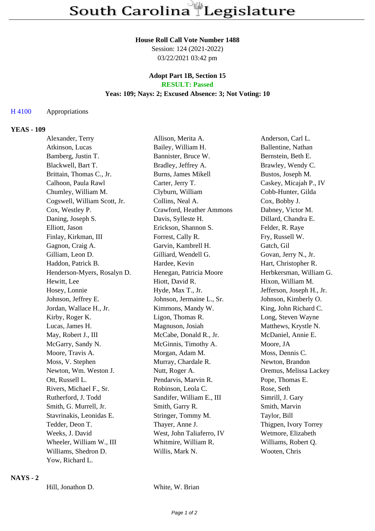#### **House Roll Call Vote Number 1488**

Session: 124 (2021-2022) 03/22/2021 03:42 pm

### **Adopt Part 1B, Section 15 RESULT: Passed**

## **Yeas: 109; Nays: 2; Excused Absence: 3; Not Voting: 10**

## H 4100 Appropriations

## **YEAS - 109**

| Alexander, Terry             | Allison, Merita A.        | Anderson, Carl L.         |
|------------------------------|---------------------------|---------------------------|
| Atkinson, Lucas              | Bailey, William H.        | Ballentine, Nathan        |
| Bamberg, Justin T.           | Bannister, Bruce W.       | Bernstein, Beth E.        |
| Blackwell, Bart T.           | Bradley, Jeffrey A.       | Brawley, Wendy C.         |
| Brittain, Thomas C., Jr.     | Burns, James Mikell       | Bustos, Joseph M.         |
| Calhoon, Paula Rawl          | Carter, Jerry T.          | Caskey, Micajah P., IV    |
| Chumley, William M.          | Clyburn, William          | Cobb-Hunter, Gilda        |
| Cogswell, William Scott, Jr. | Collins, Neal A.          | Cox, Bobby J.             |
| Cox, Westley P.              | Crawford, Heather Ammons  | Dabney, Victor M.         |
| Daning, Joseph S.            | Davis, Sylleste H.        | Dillard, Chandra E.       |
| Elliott, Jason               | Erickson, Shannon S.      | Felder, R. Raye           |
| Finlay, Kirkman, III         | Forrest, Cally R.         | Fry, Russell W.           |
| Gagnon, Craig A.             | Garvin, Kambrell H.       | Gatch, Gil                |
| Gilliam, Leon D.             | Gilliard, Wendell G.      | Govan, Jerry N., Jr.      |
| Haddon, Patrick B.           | Hardee, Kevin             | Hart, Christopher R.      |
| Henderson-Myers, Rosalyn D.  | Henegan, Patricia Moore   | Herbkersman, William G.   |
| Hewitt, Lee                  | Hiott, David R.           | Hixon, William M.         |
| Hosey, Lonnie                | Hyde, Max T., Jr.         | Jefferson, Joseph H., Jr. |
| Johnson, Jeffrey E.          | Johnson, Jermaine L., Sr. | Johnson, Kimberly O.      |
| Jordan, Wallace H., Jr.      | Kimmons, Mandy W.         | King, John Richard C.     |
| Kirby, Roger K.              | Ligon, Thomas R.          | Long, Steven Wayne        |
| Lucas, James H.              | Magnuson, Josiah          | Matthews, Krystle N.      |
| May, Robert J., III          | McCabe, Donald R., Jr.    | McDaniel, Annie E.        |
| McGarry, Sandy N.            | McGinnis, Timothy A.      | Moore, JA                 |
| Moore, Travis A.             | Morgan, Adam M.           | Moss, Dennis C.           |
| Moss, V. Stephen             | Murray, Chardale R.       | Newton, Brandon           |
| Newton, Wm. Weston J.        | Nutt, Roger A.            | Oremus, Melissa Lackey    |
| Ott, Russell L.              | Pendarvis, Marvin R.      | Pope, Thomas E.           |
| Rivers, Michael F., Sr.      | Robinson, Leola C.        | Rose, Seth                |
| Rutherford, J. Todd          | Sandifer, William E., III | Simrill, J. Gary          |
| Smith, G. Murrell, Jr.       | Smith, Garry R.           | Smith, Marvin             |
| Stavrinakis, Leonidas E.     | Stringer, Tommy M.        | Taylor, Bill              |
| Tedder, Deon T.              | Thayer, Anne J.           | Thigpen, Ivory Torrey     |
| Weeks, J. David              | West, John Taliaferro, IV | Wetmore, Elizabeth        |
| Wheeler, William W., III     | Whitmire, William R.      | Williams, Robert Q.       |
| Williams, Shedron D.         | Willis, Mark N.           | Wooten, Chris             |
| Yow, Richard L.              |                           |                           |

### **NAYS - 2**

Hill, Jonathon D. White, W. Brian